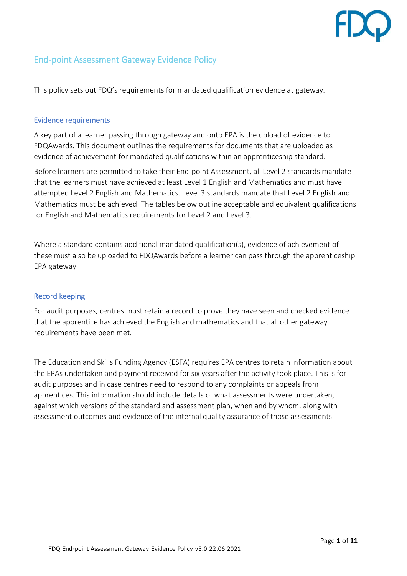# End-point Assessment Gateway Evidence Policy

This policy sets out FDQ's requirements for mandated qualification evidence at gateway.

### Evidence requirements

A key part of a learner passing through gateway and onto EPA is the upload of evidence to FDQAwards. This document outlines the requirements for documents that are uploaded as evidence of achievement for mandated qualifications within an apprenticeship standard.

Before learners are permitted to take their End-point Assessment, all Level 2 standards mandate that the learners must have achieved at least Level 1 English and Mathematics and must have attempted Level 2 English and Mathematics. Level 3 standards mandate that Level 2 English and Mathematics must be achieved. The tables below outline acceptable and equivalent qualifications for English and Mathematics requirements for Level 2 and Level 3.

Where a standard contains additional mandated qualification(s), evidence of achievement of these must also be uploaded to FDQAwards before a learner can pass through the apprenticeship EPA gateway.

# Record keeping

For audit purposes, centres must retain a record to prove they have seen and checked evidence that the apprentice has achieved the English and mathematics and that all other gateway requirements have been met.

The Education and Skills Funding Agency (ESFA) requires EPA centres to retain information about the EPAs undertaken and payment received for six years after the activity took place. This is for audit purposes and in case centres need to respond to any complaints or appeals from apprentices. This information should include details of what assessments were undertaken, against which versions of the standard and assessment plan, when and by whom, along with assessment outcomes and evidence of the internal quality assurance of those assessments.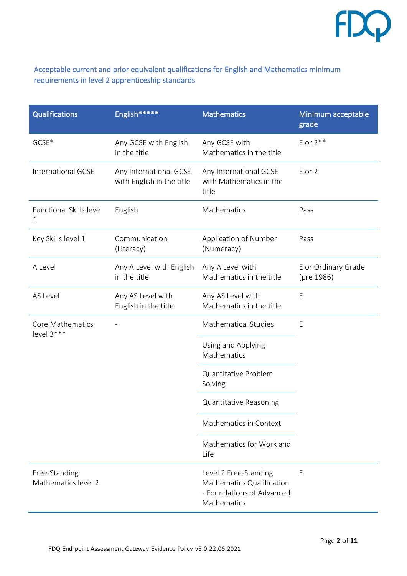

# Acceptable current and prior equivalent qualifications for English and Mathematics minimum requirements in level 2 apprenticeship standards

| <b>Qualifications</b>                | English*****                                        | <b>Mathematics</b>                                                                             | Minimum acceptable<br>grade       |
|--------------------------------------|-----------------------------------------------------|------------------------------------------------------------------------------------------------|-----------------------------------|
| GCSE*                                | Any GCSE with English<br>in the title               | Any GCSE with<br>Mathematics in the title                                                      | E or $2**$                        |
| <b>International GCSE</b>            | Any International GCSE<br>with English in the title | Any International GCSE<br>with Mathematics in the<br>title                                     | E or 2                            |
| <b>Functional Skills level</b><br>1  | English                                             | Mathematics                                                                                    | Pass                              |
| Key Skills level 1                   | Communication<br>(Literacy)                         | Application of Number<br>(Numeracy)                                                            | Pass                              |
| A Level                              | Any A Level with English<br>in the title            | Any A Level with<br>Mathematics in the title                                                   | E or Ordinary Grade<br>(pre 1986) |
| AS Level                             | Any AS Level with<br>English in the title           | Any AS Level with<br>Mathematics in the title                                                  | E                                 |
| Core Mathematics<br>level 3***       |                                                     | <b>Mathematical Studies</b>                                                                    | E                                 |
|                                      |                                                     | Using and Applying<br>Mathematics                                                              |                                   |
|                                      |                                                     | Quantitative Problem<br>Solving                                                                |                                   |
|                                      |                                                     | Quantitative Reasoning                                                                         |                                   |
|                                      |                                                     | Mathematics in Context                                                                         |                                   |
|                                      |                                                     | Mathematics for Work and<br>Life                                                               |                                   |
| Free-Standing<br>Mathematics level 2 |                                                     | Level 2 Free-Standing<br>Mathematics Qualification<br>- Foundations of Advanced<br>Mathematics | E                                 |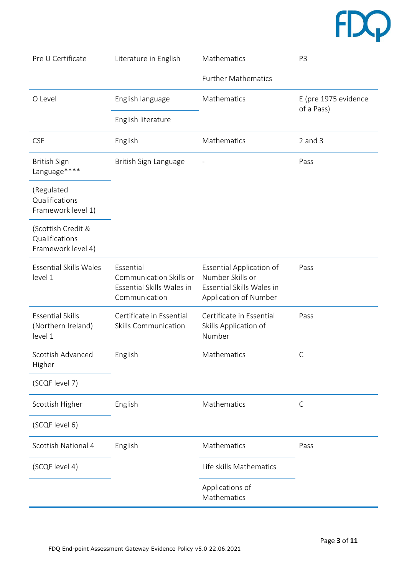

| Pre U Certificate                                          | Literature in English                                                              | Mathematics                                                                                               | P <sub>3</sub>                     |
|------------------------------------------------------------|------------------------------------------------------------------------------------|-----------------------------------------------------------------------------------------------------------|------------------------------------|
|                                                            |                                                                                    | <b>Further Mathematics</b>                                                                                |                                    |
| O Level                                                    | English language                                                                   | Mathematics                                                                                               | E (pre 1975 evidence<br>of a Pass) |
|                                                            | English literature                                                                 |                                                                                                           |                                    |
| <b>CSE</b>                                                 | English                                                                            | Mathematics                                                                                               | $2$ and $3$                        |
| <b>British Sign</b><br>Language****                        | British Sign Language                                                              |                                                                                                           | Pass                               |
| (Regulated<br>Qualifications<br>Framework level 1)         |                                                                                    |                                                                                                           |                                    |
| (Scottish Credit &<br>Qualifications<br>Framework level 4) |                                                                                    |                                                                                                           |                                    |
| <b>Essential Skills Wales</b><br>level 1                   | Essential<br>Communication Skills or<br>Essential Skills Wales in<br>Communication | <b>Essential Application of</b><br>Number Skills or<br>Essential Skills Wales in<br>Application of Number | Pass                               |
| <b>Essential Skills</b><br>(Northern Ireland)<br>level 1   | Certificate in Essential<br><b>Skills Communication</b>                            | Certificate in Essential<br>Skills Application of<br>Number                                               | Pass                               |
| Scottish Advanced<br>Higher                                | English                                                                            | Mathematics                                                                                               | $\mathsf C$                        |
| (SCQF level 7)                                             |                                                                                    |                                                                                                           |                                    |
| Scottish Higher                                            | English                                                                            | Mathematics                                                                                               | $\mathsf{C}$                       |
| (SCQF level 6)                                             |                                                                                    |                                                                                                           |                                    |
| Scottish National 4                                        | English                                                                            | Mathematics                                                                                               | Pass                               |
| (SCQF level 4)                                             |                                                                                    | Life skills Mathematics                                                                                   |                                    |
|                                                            |                                                                                    | Applications of<br>Mathematics                                                                            |                                    |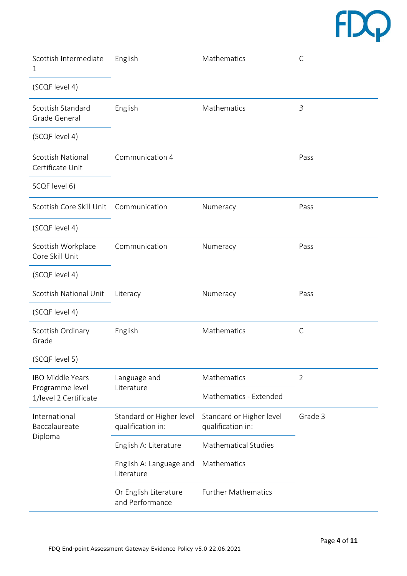# $fDQ$

| Scottish Intermediate<br>1                                          | English                                       | Mathematics                                   | $\mathsf C$    |
|---------------------------------------------------------------------|-----------------------------------------------|-----------------------------------------------|----------------|
| (SCQF level 4)                                                      |                                               |                                               |                |
| Scottish Standard<br>Grade General                                  | English                                       | Mathematics                                   | 3              |
| (SCQF level 4)                                                      |                                               |                                               |                |
| Scottish National<br>Certificate Unit                               | Communication 4                               |                                               | Pass           |
| SCQF level 6)                                                       |                                               |                                               |                |
| Scottish Core Skill Unit Communication                              |                                               | Numeracy                                      | Pass           |
| (SCQF level 4)                                                      |                                               |                                               |                |
| Scottish Workplace<br>Core Skill Unit                               | Communication                                 | Numeracy                                      | Pass           |
| (SCQF level 4)                                                      |                                               |                                               |                |
| Scottish National Unit                                              | Literacy                                      | Numeracy                                      | Pass           |
| (SCQF level 4)                                                      |                                               |                                               |                |
| Scottish Ordinary<br>Grade                                          | English                                       | Mathematics                                   | $\mathsf C$    |
| (SCQF level 5)                                                      |                                               |                                               |                |
| <b>IBO Middle Years</b><br>Programme level<br>1/level 2 Certificate | Language and<br>Literature                    | Mathematics                                   | $\overline{2}$ |
|                                                                     |                                               | Mathematics - Extended                        |                |
| International<br>Baccalaureate<br>Diploma                           | Standard or Higher level<br>qualification in: | Standard or Higher level<br>qualification in: | Grade 3        |
|                                                                     | English A: Literature                         | <b>Mathematical Studies</b>                   |                |
|                                                                     | English A: Language and<br>Literature         | Mathematics                                   |                |
|                                                                     | Or English Literature<br>and Performance      | <b>Further Mathematics</b>                    |                |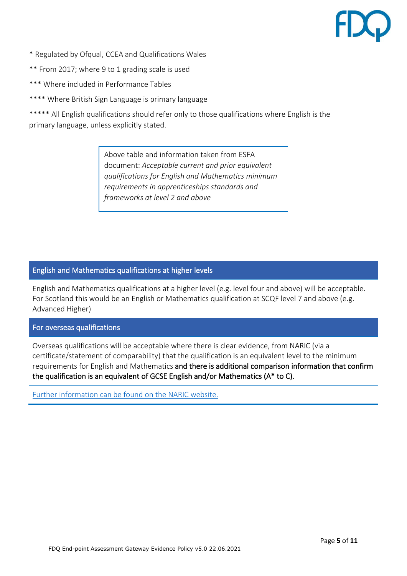- \* Regulated by Ofqual, CCEA and Qualifications Wales
- \*\* From 2017; where 9 to 1 grading scale is used
- \*\*\* Where included in Performance Tables
- \*\*\*\* Where British Sign Language is primary language

\*\*\*\*\* All English qualifications should refer only to those qualifications where English is the primary language, unless explicitly stated.

> Above table and information taken from ESFA document: *Acceptable current and prior equivalent qualifications for English and Mathematics minimum requirements in apprenticeships standards and frameworks at level 2 and above*

# English and Mathematics qualifications at higher levels

English and Mathematics qualifications at a higher level (e.g. level four and above) will be acceptable. For Scotland this would be an English or Mathematics qualification at SCQF level 7 and above (e.g. Advanced Higher)

### For overseas qualifications

Overseas qualifications will be acceptable where there is clear evidence, from NARIC (via a certificate/statement of comparability) that the qualification is an equivalent level to the minimum requirements for English and Mathematics and there is additional comparison information that confirm the qualification is an equivalent of GCSE English and/or Mathematics (A\* to C).

[Further information can be found on the NARIC website.](https://www.naric.org.uk/naric/)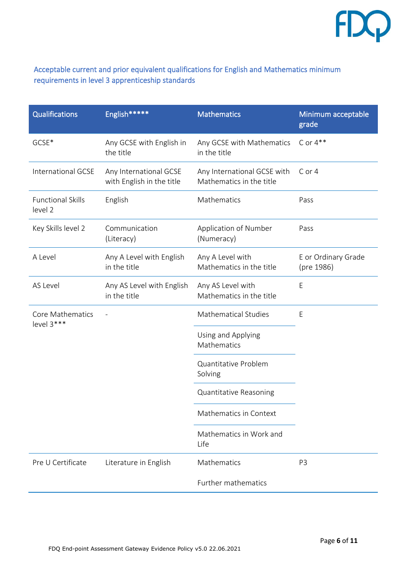

# Acceptable current and prior equivalent qualifications for English and Mathematics minimum requirements in level 3 apprenticeship standards

| <b>Qualifications</b>               | English*****                                        | <b>Mathematics</b>                                      | Minimum acceptable<br>grade       |
|-------------------------------------|-----------------------------------------------------|---------------------------------------------------------|-----------------------------------|
| GCSE*                               | Any GCSE with English in<br>the title               | Any GCSE with Mathematics<br>in the title               | $C$ or $4**$                      |
| International GCSE                  | Any International GCSE<br>with English in the title | Any International GCSE with<br>Mathematics in the title | C or 4                            |
| <b>Functional Skills</b><br>level 2 | English                                             | Mathematics                                             | Pass                              |
| Key Skills level 2                  | Communication<br>(Literacy)                         | Application of Number<br>(Numeracy)                     | Pass                              |
| A Level                             | Any A Level with English<br>in the title            | Any A Level with<br>Mathematics in the title            | E or Ordinary Grade<br>(pre 1986) |
| AS Level                            | Any AS Level with English<br>in the title           | Any AS Level with<br>Mathematics in the title           | E                                 |
| Core Mathematics<br>level 3***      |                                                     | <b>Mathematical Studies</b>                             | E                                 |
|                                     |                                                     | Using and Applying<br>Mathematics                       |                                   |
|                                     |                                                     | Quantitative Problem<br>Solving                         |                                   |
|                                     |                                                     | Quantitative Reasoning                                  |                                   |
|                                     |                                                     | Mathematics in Context                                  |                                   |
|                                     |                                                     | Mathematics in Work and<br>Life                         |                                   |
| Pre U Certificate                   | Literature in English                               | Mathematics                                             | P <sub>3</sub>                    |
|                                     |                                                     | Further mathematics                                     |                                   |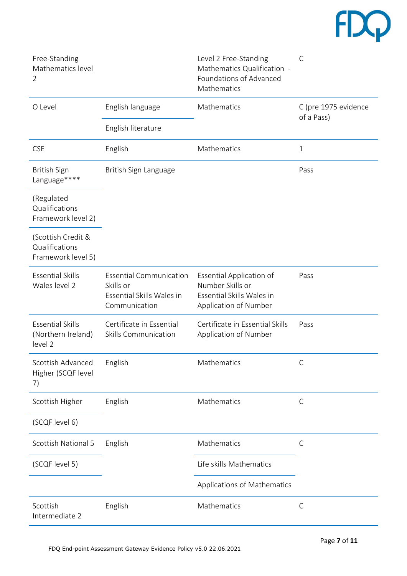# $fDQ$

| Free-Standing<br>Mathematics level<br>$\overline{2}$       |                                                                                           | Level 2 Free-Standing<br>Mathematics Qualification -<br>Foundations of Advanced<br>Mathematics            | C                                  |
|------------------------------------------------------------|-------------------------------------------------------------------------------------------|-----------------------------------------------------------------------------------------------------------|------------------------------------|
| O Level                                                    | English language                                                                          | Mathematics                                                                                               | C (pre 1975 evidence<br>of a Pass) |
|                                                            | English literature                                                                        |                                                                                                           |                                    |
| <b>CSE</b>                                                 | English                                                                                   | Mathematics                                                                                               | $\mathbf{1}$                       |
| <b>British Sign</b><br>Language****                        | British Sign Language                                                                     |                                                                                                           | Pass                               |
| (Regulated<br>Qualifications<br>Framework level 2)         |                                                                                           |                                                                                                           |                                    |
| (Scottish Credit &<br>Qualifications<br>Framework level 5) |                                                                                           |                                                                                                           |                                    |
| <b>Essential Skills</b><br>Wales level 2                   | <b>Essential Communication</b><br>Skills or<br>Essential Skills Wales in<br>Communication | <b>Essential Application of</b><br>Number Skills or<br>Essential Skills Wales in<br>Application of Number | Pass                               |
| <b>Essential Skills</b><br>(Northern Ireland)<br>level 2   | Certificate in Essential<br><b>Skills Communication</b>                                   | Certificate in Essential Skills<br>Application of Number                                                  | Pass                               |
| Scottish Advanced<br>Higher (SCQF level<br>7)              | English                                                                                   | Mathematics                                                                                               | C                                  |
| Scottish Higher                                            | English                                                                                   | Mathematics                                                                                               | C                                  |
| (SCQF level 6)                                             |                                                                                           |                                                                                                           |                                    |
| Scottish National 5                                        | English                                                                                   | Mathematics                                                                                               | $\mathsf{C}$                       |
| (SCQF level 5)                                             |                                                                                           | Life skills Mathematics                                                                                   |                                    |
|                                                            |                                                                                           | Applications of Mathematics                                                                               |                                    |
| Scottish<br>Intermediate 2                                 | English                                                                                   | Mathematics                                                                                               | С                                  |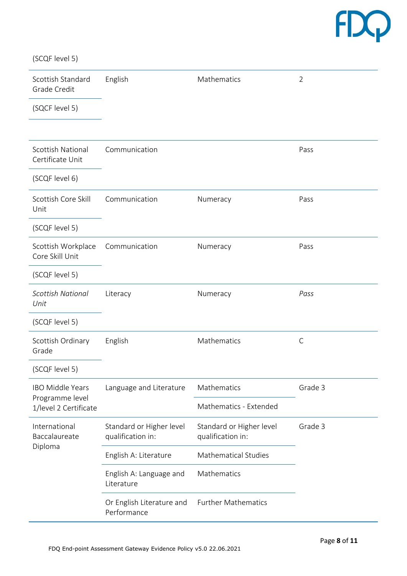# $FDQ$

(SCQF level 5)

| Scottish Standard<br>Grade Credit                                   | English                                       | Mathematics                                   | $\overline{2}$ |
|---------------------------------------------------------------------|-----------------------------------------------|-----------------------------------------------|----------------|
| (SQCF level 5)                                                      |                                               |                                               |                |
|                                                                     |                                               |                                               |                |
| <b>Scottish National</b><br>Certificate Unit                        | Communication                                 |                                               | Pass           |
| (SCQF level 6)                                                      |                                               |                                               |                |
| Scottish Core Skill<br>Unit                                         | Communication                                 | Numeracy                                      | Pass           |
| (SCQF level 5)                                                      |                                               |                                               |                |
| Scottish Workplace<br>Core Skill Unit                               | Communication                                 | Numeracy                                      | Pass           |
| (SCQF level 5)                                                      |                                               |                                               |                |
| <b>Scottish National</b><br>Unit                                    | Literacy                                      | Numeracy                                      | Pass           |
| (SCQF level 5)                                                      |                                               |                                               |                |
| Scottish Ordinary<br>Grade                                          | English                                       | Mathematics                                   | C              |
| (SCQF level 5)                                                      |                                               |                                               |                |
| <b>IBO Middle Years</b><br>Programme level<br>1/level 2 Certificate | Language and Literature                       | Mathematics                                   | Grade 3        |
|                                                                     |                                               | Mathematics - Extended                        |                |
| International<br>Baccalaureate<br>Diploma                           | Standard or Higher level<br>qualification in: | Standard or Higher level<br>qualification in: | Grade 3        |
|                                                                     | English A: Literature                         | <b>Mathematical Studies</b>                   |                |
|                                                                     | English A: Language and<br>Literature         | Mathematics                                   |                |
|                                                                     | Or English Literature and<br>Performance      | <b>Further Mathematics</b>                    |                |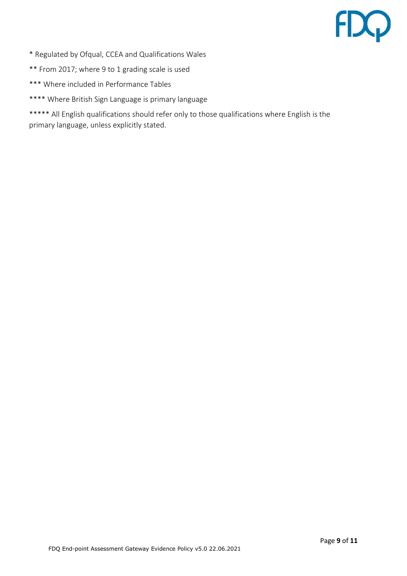# FDQ

- \* Regulated by Ofqual, CCEA and Qualifications Wales
- \*\* From 2017; where 9 to 1 grading scale is used
- \*\*\* Where included in Performance Tables
- \*\*\*\* Where British Sign Language is primary language

\*\*\*\*\* All English qualifications should refer only to those qualifications where English is the primary language, unless explicitly stated.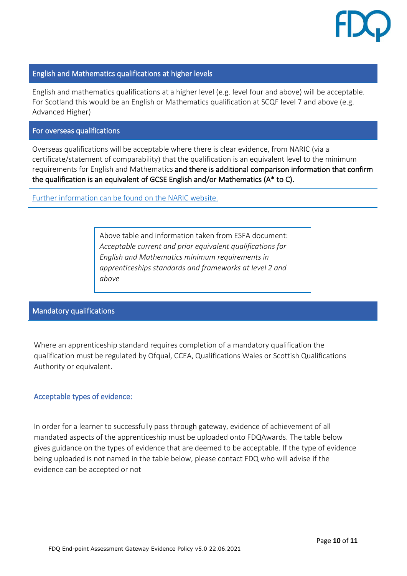

## English and Mathematics qualifications at higher levels

English and mathematics qualifications at a higher level (e.g. level four and above) will be acceptable. For Scotland this would be an English or Mathematics qualification at SCQF level 7 and above (e.g. Advanced Higher)

#### For overseas qualifications

Overseas qualifications will be acceptable where there is clear evidence, from NARIC (via a certificate/statement of comparability) that the qualification is an equivalent level to the minimum requirements for English and Mathematics and there is additional comparison information that confirm the qualification is an equivalent of GCSE English and/or Mathematics (A\* to C).

[Further information can be found on the NARIC website.](https://www.naric.org.uk/naric/)

Above table and information taken from ESFA document: *Acceptable current and prior equivalent qualifications for English and Mathematics minimum requirements in apprenticeships standards and frameworks at level 2 and above*

## Mandatory qualifications

Where an apprenticeship standard requires completion of a mandatory qualification the qualification must be regulated by Ofqual, CCEA, Qualifications Wales or Scottish Qualifications Authority or equivalent.

### Acceptable types of evidence:

In order for a learner to successfully pass through gateway, evidence of achievement of all mandated aspects of the apprenticeship must be uploaded onto FDQAwards. The table below gives guidance on the types of evidence that are deemed to be acceptable. If the type of evidence being uploaded is not named in the table below, please contact FDQ who will advise if the evidence can be accepted or not